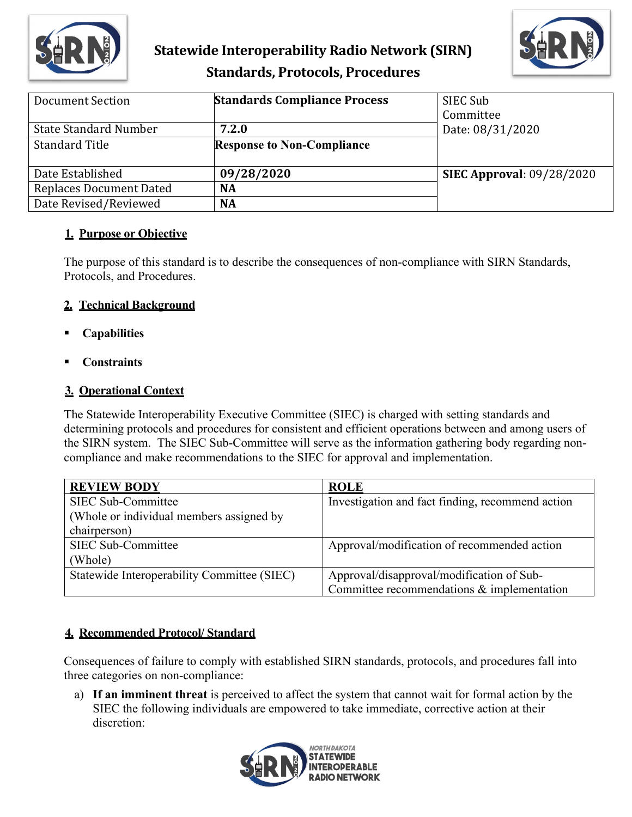

# **Statewide Interoperability Radio Network (SIRN) Standards, Protocols, Procedures**



| <b>Document Section</b>        | <b>Standards Compliance Process</b> | SIEC Sub<br>Committee            |
|--------------------------------|-------------------------------------|----------------------------------|
| <b>State Standard Number</b>   | 7.2.0                               | Date: 08/31/2020                 |
| <b>Standard Title</b>          | <b>Response to Non-Compliance</b>   |                                  |
| Date Established               | 09/28/2020                          | <b>SIEC Approval: 09/28/2020</b> |
| <b>Replaces Document Dated</b> | <b>NA</b>                           |                                  |
| Date Revised/Reviewed          | <b>NA</b>                           |                                  |

## **1. Purpose or Objective**

The purpose of this standard is to describe the consequences of non-compliance with SIRN Standards, Protocols, and Procedures.

#### **2. Technical Background**

- **Capabilities**
- **Constraints**

#### **3. Operational Context**

The Statewide Interoperability Executive Committee (SIEC) is charged with setting standards and determining protocols and procedures for consistent and efficient operations between and among users of the SIRN system. The SIEC Sub-Committee will serve as the information gathering body regarding noncompliance and make recommendations to the SIEC for approval and implementation.

| <b>REVIEW BODY</b>                          | <b>ROLE</b>                                      |
|---------------------------------------------|--------------------------------------------------|
| SIEC Sub-Committee                          | Investigation and fact finding, recommend action |
| (Whole or individual members assigned by    |                                                  |
| chairperson)                                |                                                  |
| SIEC Sub-Committee                          | Approval/modification of recommended action      |
| (Whole)                                     |                                                  |
| Statewide Interoperability Committee (SIEC) | Approval/disapproval/modification of Sub-        |
|                                             | Committee recommendations & implementation       |

## **4. Recommended Protocol/ Standard**

Consequences of failure to comply with established SIRN standards, protocols, and procedures fall into three categories on non-compliance:

a) **If an imminent threat** is perceived to affect the system that cannot wait for formal action by the SIEC the following individuals are empowered to take immediate, corrective action at their discretion:

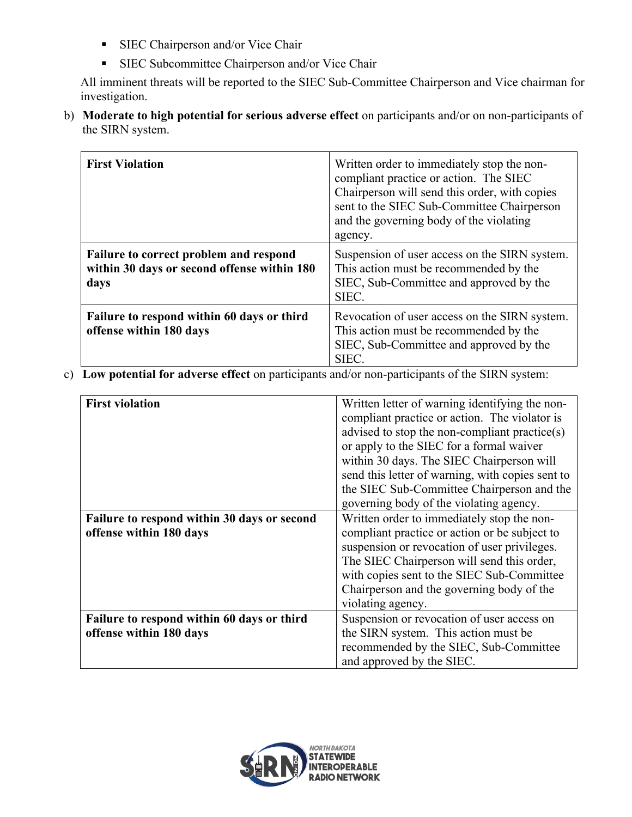- **SIEC Chairperson and/or Vice Chair**
- **SIEC Subcommittee Chairperson and/or Vice Chair**

All imminent threats will be reported to the SIEC Sub-Committee Chairperson and Vice chairman for investigation.

b) **Moderate to high potential for serious adverse effect** on participants and/or on non-participants of the SIRN system.

| <b>First Violation</b>                                                                        | Written order to immediately stop the non-<br>compliant practice or action. The SIEC<br>Chairperson will send this order, with copies<br>sent to the SIEC Sub-Committee Chairperson<br>and the governing body of the violating<br>agency. |
|-----------------------------------------------------------------------------------------------|-------------------------------------------------------------------------------------------------------------------------------------------------------------------------------------------------------------------------------------------|
| Failure to correct problem and respond<br>within 30 days or second offense within 180<br>days | Suspension of user access on the SIRN system.<br>This action must be recommended by the<br>SIEC, Sub-Committee and approved by the<br>SIEC.                                                                                               |
| Failure to respond within 60 days or third<br>offense within 180 days                         | Revocation of user access on the SIRN system.<br>This action must be recommended by the<br>SIEC, Sub-Committee and approved by the<br><b>SIEC</b>                                                                                         |

c) **Low potential for adverse effect** on participants and/or non-participants of the SIRN system:

| <b>First violation</b>                                                 | Written letter of warning identifying the non-<br>compliant practice or action. The violator is<br>advised to stop the non-compliant practice(s)<br>or apply to the SIEC for a formal waiver<br>within 30 days. The SIEC Chairperson will<br>send this letter of warning, with copies sent to<br>the SIEC Sub-Committee Chairperson and the<br>governing body of the violating agency. |
|------------------------------------------------------------------------|----------------------------------------------------------------------------------------------------------------------------------------------------------------------------------------------------------------------------------------------------------------------------------------------------------------------------------------------------------------------------------------|
| Failure to respond within 30 days or second<br>offense within 180 days | Written order to immediately stop the non-<br>compliant practice or action or be subject to<br>suspension or revocation of user privileges.<br>The SIEC Chairperson will send this order,<br>with copies sent to the SIEC Sub-Committee<br>Chairperson and the governing body of the<br>violating agency.                                                                              |
| Failure to respond within 60 days or third<br>offense within 180 days  | Suspension or revocation of user access on<br>the SIRN system. This action must be<br>recommended by the SIEC, Sub-Committee<br>and approved by the SIEC.                                                                                                                                                                                                                              |